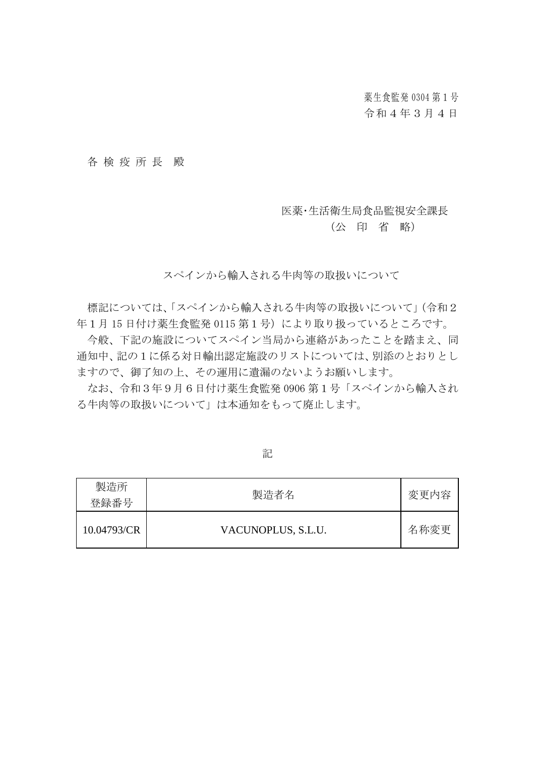薬生食監発 0304 第1号 令和4年3月4日

各 検疫所 長 殿

#### 医薬・生活衛生局食品監視安全課長

### (公 印 省 略)

スペインから輸入される牛肉等の取扱いについて

標記については、「スペインから輸入される牛肉等の取扱いについて」(令和2 年1月 15 日付け薬生食監発 0115 第1号)により取り扱っているところです。

今般、下記の施設についてスペイン当局から連絡があったことを踏まえ、同 通知中、記の1に係る対日輸出認定施設のリストについては、別添のとおりとし ますので、御了知の上、その運用に遺漏のないようお願いします。

なお、令和3年9月6日付け薬生食監発 0906 第1号「スペインから輸入され る牛肉等の取扱いについて」は本通知をもって廃止します。

| 製造所<br>登録番号 | 製造者名               | 変更内容 |
|-------------|--------------------|------|
| 10.04793/CR | VACUNOPLUS, S.L.U. | 名称変更 |

記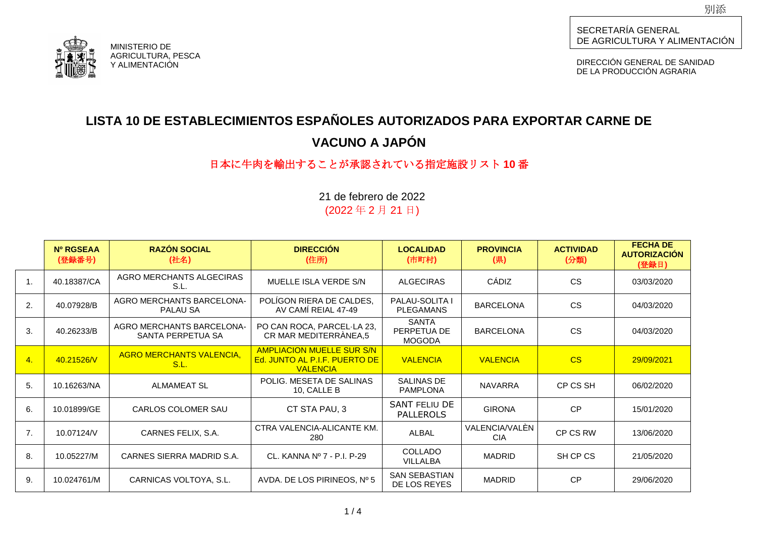

DIRECCIÓN GENERAL DE SANIDAD DE LA PRODUCCIÓN AGRARIA

# **LISTA 10 DE ESTABLECIMIENTOS ESPAÑOLES AUTORIZADOS PARA EXPORTAR CARNE DE VACUNO A JAPÓN**

## 日本に牛肉を輸出することが承認されている指定施設リスト **10** 番

|                | Nº RGSEAA<br>(登録番号) | <b>RAZÓN SOCIAL</b><br>(社名)                    | <b>DIRECCIÓN</b><br>(住所)                                                             | <b>LOCALIDAD</b><br>(市町村)                    | <b>PROVINCIA</b><br>(県)      | <b>ACTIVIDAD</b><br>(分類) | <b>FECHA DE</b><br><b>AUTORIZACIÓN</b><br>(登録日) |
|----------------|---------------------|------------------------------------------------|--------------------------------------------------------------------------------------|----------------------------------------------|------------------------------|--------------------------|-------------------------------------------------|
| $\mathbf{1}$ . | 40.18387/CA         | AGRO MERCHANTS ALGECIRAS<br>S.L.               | MUELLE ISLA VERDE S/N                                                                | <b>ALGECIRAS</b>                             | CÁDIZ                        | <b>CS</b>                | 03/03/2020                                      |
| 2.             | 40.07928/B          | <b>AGRO MERCHANTS BARCELONA-</b><br>PALAU SA   | POLIGON RIERA DE CALDES,<br>AV CAMÍ REIAL 47-49                                      | <b>PALAU-SOLITA I</b><br><b>PLEGAMANS</b>    | <b>BARCELONA</b>             | <b>CS</b>                | 04/03/2020                                      |
| 3.             | 40.26233/B          | AGRO MERCHANTS BARCELONA-<br>SANTA PERPETUA SA | PO CAN ROCA, PARCEL·LA 23,<br>CR MAR MEDITERRÀNEA,5                                  | <b>SANTA</b><br>PERPETUA DE<br><b>MOGODA</b> | <b>BARCELONA</b>             | <b>CS</b>                | 04/03/2020                                      |
| 4.             | 40.21526/V          | <b>AGRO MERCHANTS VALENCIA,</b><br>S.L.        | <b>AMPLIACION MUELLE SUR S/N</b><br>Ed. JUNTO AL P.I.F. PUERTO DE<br><b>VALENCIA</b> | <b>VALENCIA</b>                              | <b>VALENCIA</b>              | CS                       | 29/09/2021                                      |
| 5.             | 10.16263/NA         | <b>ALMAMEAT SL</b>                             | POLIG. MESETA DE SALINAS<br>10, CALLE B                                              | SALINAS DE<br><b>PAMPLONA</b>                | <b>NAVARRA</b>               | CP CS SH                 | 06/02/2020                                      |
| 6.             | 10.01899/GE         | CARLOS COLOMER SAU                             | CT STA PAU, 3                                                                        | SANT FELIU DE<br><b>PALLEROLS</b>            | <b>GIRONA</b>                | CP                       | 15/01/2020                                      |
| 7.             | 10.07124/V          | CARNES FELIX, S.A.                             | CTRA VALENCIA-ALICANTE KM.<br>280                                                    | <b>ALBAL</b>                                 | VALENCIA/VALÉN<br><b>CIA</b> | CP CS RW                 | 13/06/2020                                      |
| 8.             | 10.05227/M          | CARNES SIERRA MADRID S.A.                      | CL. KANNA Nº 7 - P.I. P-29                                                           | <b>COLLADO</b><br><b>VILLALBA</b>            | <b>MADRID</b>                | SH CP CS                 | 21/05/2020                                      |
| 9.             | 10.024761/M         | CARNICAS VOLTOYA, S.L.                         | AVDA. DE LOS PIRINEOS, $N^{\circ}$ 5                                                 | <b>SAN SEBASTIAN</b><br>DE LOS REYES         | <b>MADRID</b>                | CP                       | 29/06/2020                                      |

21 de febrero de 2022 (2022 年 2 月 21 日)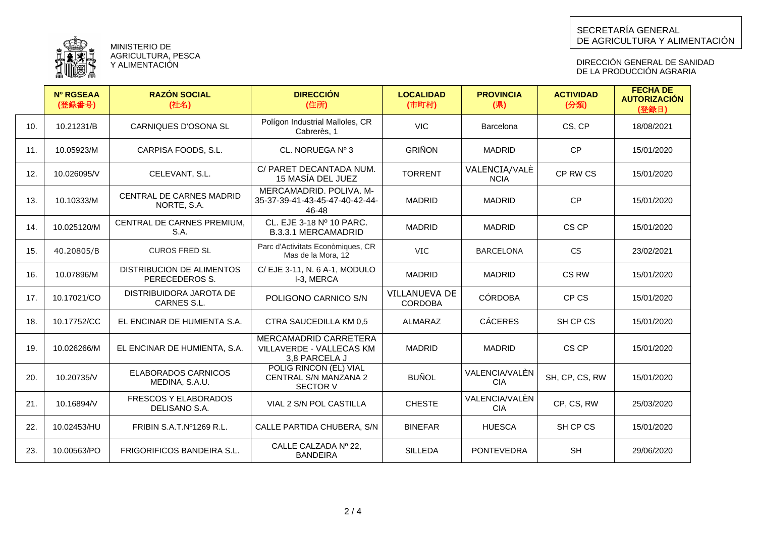

MINISTERIO DE AGRICULTURA, PESCA Y ALIMENTACION

DIRECCIÓN GENERAL DE SANIDAD DE LA PRODUCCION AGRARIA

|     | <b>Nº RGSEAA</b><br>(登録番号) | <b>RAZÓN SOCIAL</b><br>(社名)                 | <b>DIRECCIÓN</b><br>(住所)                                           | <b>LOCALIDAD</b><br>(市町村)       | <b>PROVINCIA</b><br>(県)      | <b>ACTIVIDAD</b><br>(分類) | <b>FECHA DE</b><br><b>AUTORIZACIÓN</b><br>(登録日) |
|-----|----------------------------|---------------------------------------------|--------------------------------------------------------------------|---------------------------------|------------------------------|--------------------------|-------------------------------------------------|
| 10. | 10.21231/B                 | <b>CARNIQUES D'OSONA SL</b>                 | Polígon Industrial Malloles, CR<br>Cabrerès, 1                     | <b>VIC</b>                      | Barcelona                    | CS, CP                   | 18/08/2021                                      |
| 11. | 10.05923/M                 | CARPISA FOODS, S.L.                         | CL. NORUEGA Nº 3                                                   | <b>GRIÑON</b>                   | <b>MADRID</b>                | <b>CP</b>                | 15/01/2020                                      |
| 12. | 10.026095/V                | CELEVANT, S.L.                              | C/ PARET DECANTADA NUM.<br>15 MASÍA DEL JUEZ                       | <b>TORRENT</b>                  | VALENCIA/VALÈ<br><b>NCIA</b> | CP RW CS                 | 15/01/2020                                      |
| 13. | 10.10333/M                 | CENTRAL DE CARNES MADRID<br>NORTE, S.A.     | MERCAMADRID, POLIVA, M-<br>35-37-39-41-43-45-47-40-42-44-<br>46-48 | <b>MADRID</b>                   | <b>MADRID</b>                | <b>CP</b>                | 15/01/2020                                      |
| 14. | 10.025120/M                | CENTRAL DE CARNES PREMIUM,<br>S.A.          | CL. EJE 3-18 Nº 10 PARC.<br><b>B.3.3.1 MERCAMADRID</b>             | <b>MADRID</b>                   | <b>MADRID</b>                | CS CP                    | 15/01/2020                                      |
| 15. | 40.20805/B                 | <b>CUROS FRED SL</b>                        | Parc d'Activitats Econòmiques, CR<br>Mas de la Mora, 12            | <b>VIC</b>                      | <b>BARCELONA</b>             | <b>CS</b>                | 23/02/2021                                      |
| 16. | 10.07896/M                 | DISTRIBUCION DE ALIMENTOS<br>PERECEDEROS S. | C/ EJE 3-11, N. 6 A-1, MODULO<br>I-3, MERCA                        | <b>MADRID</b>                   | <b>MADRID</b>                | CS RW                    | 15/01/2020                                      |
| 17. | 10.17021/CO                | DISTRIBUIDORA JAROTA DE<br>CARNES S.L.      | POLIGONO CARNICO S/N                                               | VILLANUEVA DE<br><b>CORDOBA</b> | <b>CÓRDOBA</b>               | CP CS                    | 15/01/2020                                      |
| 18. | 10.17752/CC                | EL ENCINAR DE HUMIENTA S.A.                 | CTRA SAUCEDILLA KM 0,5                                             | ALMARAZ                         | <b>CÁCERES</b>               | SH CP CS                 | 15/01/2020                                      |
| 19. | 10.026266/M                | EL ENCINAR DE HUMIENTA, S.A.                | MERCAMADRID CARRETERA<br>VILLAVERDE - VALLECAS KM<br>3.8 PARCELA J | <b>MADRID</b>                   | <b>MADRID</b>                | CS CP                    | 15/01/2020                                      |
| 20. | 10.20735/V                 | ELABORADOS CARNICOS<br>MEDINA, S.A.U.       | POLIG RINCON (EL) VIAL<br>CENTRAL S/N MANZANA 2<br><b>SECTOR V</b> | <b>BUÑOL</b>                    | VALENCIA/VALÈN<br><b>CIA</b> | SH, CP, CS, RW           | 15/01/2020                                      |
| 21. | 10.16894/V                 | FRESCOS Y ELABORADOS<br>DELISANO S.A.       | VIAL 2 S/N POL CASTILLA                                            | <b>CHESTE</b>                   | VALENCIA/VALÈN<br><b>CIA</b> | CP, CS, RW               | 25/03/2020                                      |
| 22. | 10.02453/HU                | FRIBIN S.A.T.Nº1269 R.L.                    | CALLE PARTIDA CHUBERA, S/N                                         | <b>BINEFAR</b>                  | <b>HUESCA</b>                | SH CP CS                 | 15/01/2020                                      |
| 23. | 10.00563/PO                | <b>FRIGORIFICOS BANDEIRA S.L.</b>           | CALLE CALZADA Nº 22.<br><b>BANDEIRA</b>                            | <b>SILLEDA</b>                  | <b>PONTEVEDRA</b>            | <b>SH</b>                | 29/06/2020                                      |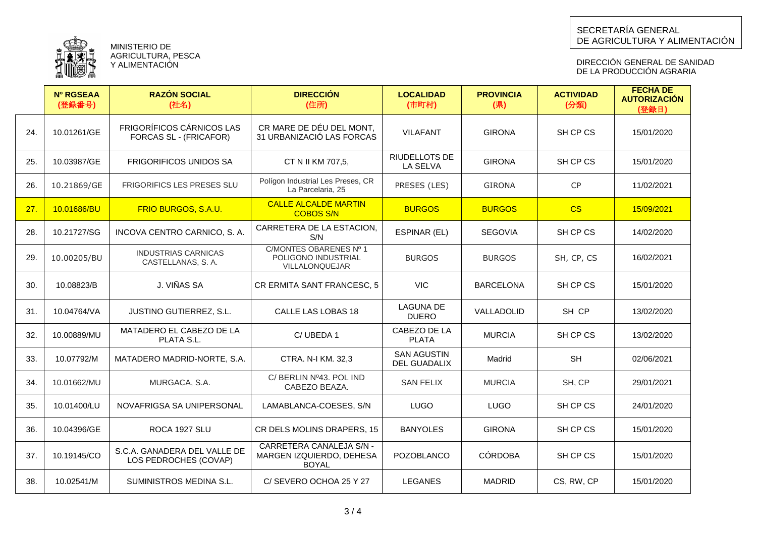

MINISTERIO DE AGRICULTURA, PESCA Y ALIMENTACIÓN

DIRECCIÓN GENERAL DE SANIDAD DE LA PRODUCCION AGRARIA

|     | <b>Nº RGSEAA</b><br>(登録番号) | <b>RAZÓN SOCIAL</b><br>(社名)                                | <b>DIRECCIÓN</b><br>(住所)                                             | <b>LOCALIDAD</b><br>(市町村)          | <b>PROVINCIA</b><br>(県) | <b>ACTIVIDAD</b><br>(分類) | <b>FECHA DE</b><br><b>AUTORIZACIÓN</b><br>(登録日) |
|-----|----------------------------|------------------------------------------------------------|----------------------------------------------------------------------|------------------------------------|-------------------------|--------------------------|-------------------------------------------------|
| 24. | 10.01261/GE                | <b>FRIGORÍFICOS CÁRNICOS LAS</b><br>FORCAS SL - (FRICAFOR) | CR MARE DE DÉU DEL MONT.<br>31 URBANIZACIÓ LAS FORCAS                | <b>VILAFANT</b>                    | <b>GIRONA</b>           | SH CP CS                 | 15/01/2020                                      |
| 25. | 10.03987/GE                | <b>FRIGORIFICOS UNIDOS SA</b>                              | CT N II KM 707,5,                                                    | RIUDELLOTS DE<br>LA SELVA          | <b>GIRONA</b>           | SH CP CS                 | 15/01/2020                                      |
| 26. | 10.21869/GE                | <b>FRIGORIFICS LES PRESES SLU</b>                          | Polígon Industrial Les Preses, CR<br>La Parcelaria, 25               | PRESES (LES)                       | <b>GIRONA</b>           | <b>CP</b>                | 11/02/2021                                      |
| 27. | 10.01686/BU                | FRIO BURGOS, S.A.U.                                        | <b>CALLE ALCALDE MARTIN</b><br><b>COBOS S/N</b>                      | <b>BURGOS</b>                      | <b>BURGOS</b>           | CS                       | 15/09/2021                                      |
| 28. | 10.21727/SG                | INCOVA CENTRO CARNICO, S. A.                               | CARRETERA DE LA ESTACION,<br>S/N                                     | ESPINAR (EL)                       | <b>SEGOVIA</b>          | SH CP CS                 | 14/02/2020                                      |
| 29. | 10.00205/BU                | <b>INDUSTRIAS CARNICAS</b><br>CASTELLANAS, S. A.           | C/MONTES OBARENES Nº 1<br>POLIGONO INDUSTRIAL<br>VILLALONQUEJAR      | <b>BURGOS</b>                      | <b>BURGOS</b>           | SH, CP, CS               | 16/02/2021                                      |
| 30. | 10.08823/B                 | J. VIÑAS SA                                                | CR ERMITA SANT FRANCESC, 5                                           | <b>VIC</b>                         | <b>BARCELONA</b>        | SH CP CS                 | 15/01/2020                                      |
| 31. | 10.04764/VA                | JUSTINO GUTIERREZ, S.L.                                    | CALLE LAS LOBAS 18                                                   | <b>LAGUNA DE</b><br><b>DUERO</b>   | VALLADOLID              | SH CP                    | 13/02/2020                                      |
| 32. | 10.00889/MU                | MATADERO EL CABEZO DE LA<br>PLATA S.L.                     | C/UBEDA1                                                             | CABEZO DE LA<br><b>PLATA</b>       | <b>MURCIA</b>           | SH CP CS                 | 13/02/2020                                      |
| 33. | 10.07792/M                 | MATADERO MADRID-NORTE, S.A.                                | CTRA. N-I KM. 32,3                                                   | <b>SAN AGUSTIN</b><br>DEL GUADALIX | Madrid                  | <b>SH</b>                | 02/06/2021                                      |
| 34. | 10.01662/MU                | MURGACA, S.A.                                              | C/ BERLIN Nº43. POL IND<br>CABEZO BEAZA.                             | <b>SAN FELIX</b>                   | <b>MURCIA</b>           | SH, CP                   | 29/01/2021                                      |
| 35. | 10.01400/LU                | NOVAFRIGSA SA UNIPERSONAL                                  | LAMABLANCA-COESES, S/N                                               | <b>LUGO</b>                        | <b>LUGO</b>             | SH CP CS                 | 24/01/2020                                      |
| 36. | 10.04396/GE                | ROCA 1927 SLU                                              | CR DELS MOLINS DRAPERS, 15                                           | <b>BANYOLES</b>                    | <b>GIRONA</b>           | SH CP CS                 | 15/01/2020                                      |
| 37. | 10.19145/CO                | S.C.A. GANADERA DEL VALLE DE<br>LOS PEDROCHES (COVAP)      | CARRETERA CANALEJA S/N -<br>MARGEN IZQUIERDO, DEHESA<br><b>BOYAL</b> | <b>POZOBLANCO</b>                  | <b>CÓRDOBA</b>          | SH CP CS                 | 15/01/2020                                      |
| 38. | 10.02541/M                 | SUMINISTROS MEDINA S.L.                                    | C/SEVERO OCHOA 25 Y 27                                               | <b>LEGANES</b>                     | <b>MADRID</b>           | CS, RW, CP               | 15/01/2020                                      |